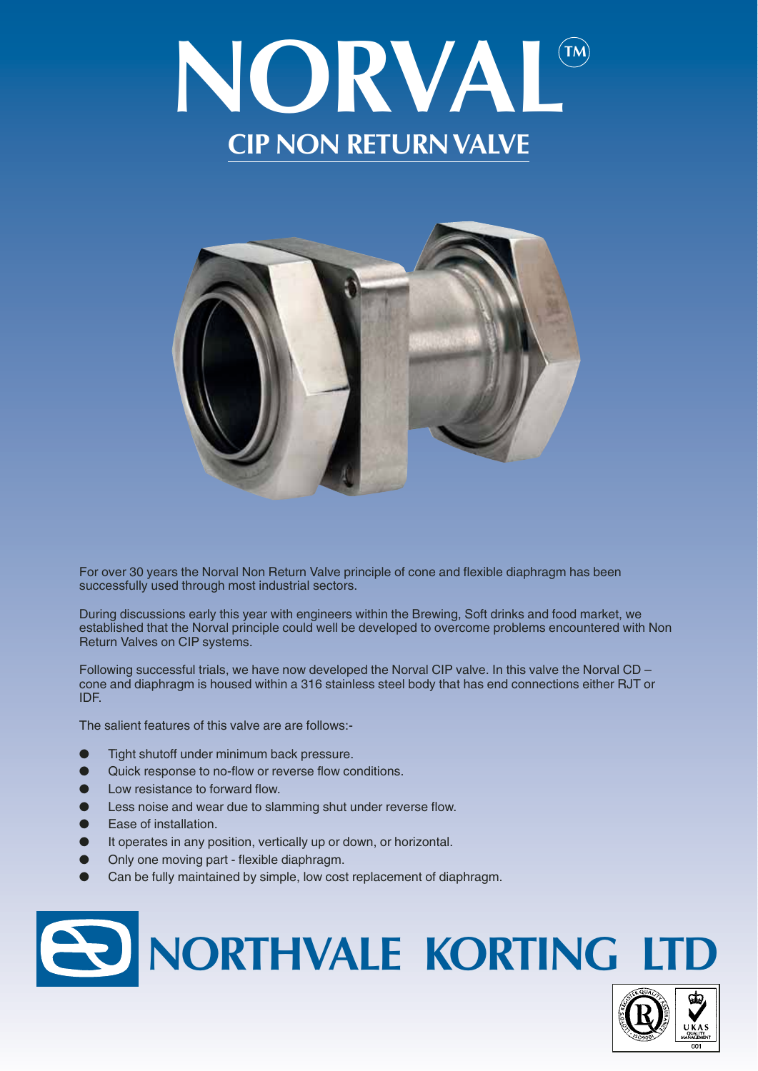



For over 30 years the Norval Non Return Valve principle of cone and flexible diaphragm has been successfully used through most industrial sectors.

During discussions early this year with engineers within the Brewing, Soft drinks and food market, we established that the Norval principle could well be developed to overcome problems encountered with Non Return Valves on CIP systems.

Following successful trials, we have now developed the Norval CIP valve. In this valve the Norval CD – cone and diaphragm is housed within a 316 stainless steel body that has end connections either RJT or IDF.

The salient features of this valve are are follows:-

- Tight shutoff under minimum back pressure.
- Quick response to no-flow or reverse flow conditions.
- Low resistance to forward flow.
- Less noise and wear due to slamming shut under reverse flow.
- Ease of installation.
- It operates in any position, vertically up or down, or horizontal.
- Only one moving part flexible diaphragm.
- Can be fully maintained by simple, low cost replacement of diaphragm.

## **NORTHVALE KORTING LTD**